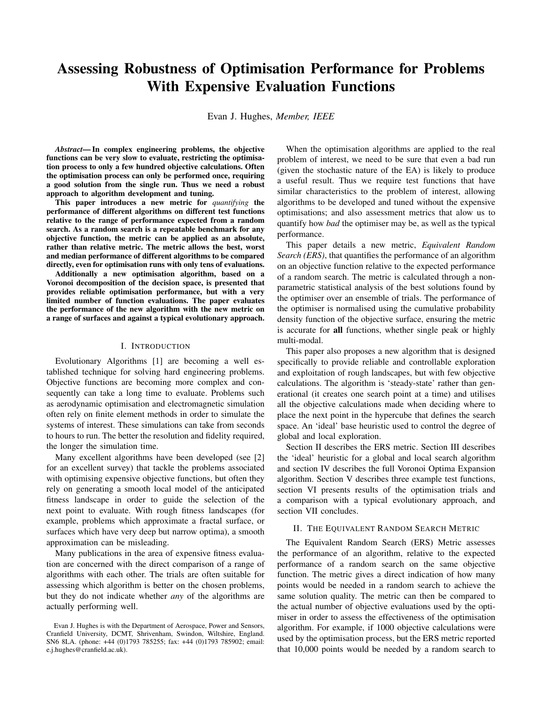# **Assessing Robustness of Optimisation Performance for Problems With Expensive Evaluation Functions**

Evan J. Hughes, *Member, IEEE*

*Abstract***— In complex engineering problems, the objective functions can be very slow to evaluate, restricting the optimisation process to only a few hundred objective calculations. Often the optimisation process can only be performed once, requiring a good solution from the single run. Thus we need a robust approach to algorithm development and tuning.**

**This paper introduces a new metric for** *quantifying* **the performance of different algorithms on different test functions relative to the range of performance expected from a random search. As a random search is a repeatable benchmark for any objective function, the metric can be applied as an absolute, rather than relative metric. The metric allows the best, worst and median performance of different algorithms to be compared directly, even for optimisation runs with only tens of evaluations.**

**Additionally a new optimisation algorithm, based on a Voronoi decomposition of the decision space, is presented that provides reliable optimisation performance, but with a very limited number of function evaluations. The paper evaluates the performance of the new algorithm with the new metric on a range of surfaces and against a typical evolutionary approach.**

#### I. INTRODUCTION

Evolutionary Algorithms [1] are becoming a well established technique for solving hard engineering problems. Objective functions are becoming more complex and consequently can take a long time to evaluate. Problems such as aerodynamic optimisation and electromagnetic simulation often rely on finite element methods in order to simulate the systems of interest. These simulations can take from seconds to hours to run. The better the resolution and fidelity required, the longer the simulation time.

Many excellent algorithms have been developed (see [2] for an excellent survey) that tackle the problems associated with optimising expensive objective functions, but often they rely on generating a smooth local model of the anticipated fitness landscape in order to guide the selection of the next point to evaluate. With rough fitness landscapes (for example, problems which approximate a fractal surface, or surfaces which have very deep but narrow optima), a smooth approximation can be misleading.

Many publications in the area of expensive fitness evaluation are concerned with the direct comparison of a range of algorithms with each other. The trials are often suitable for assessing which algorithm is better on the chosen problems, but they do not indicate whether *any* of the algorithms are actually performing well.

When the optimisation algorithms are applied to the real problem of interest, we need to be sure that even a bad run (given the stochastic nature of the EA) is likely to produce a useful result. Thus we require test functions that have similar characteristics to the problem of interest, allowing algorithms to be developed and tuned without the expensive optimisations; and also assessment metrics that alow us to quantify how *bad* the optimiser may be, as well as the typical performance.

This paper details a new metric, *Equivalent Random Search (ERS)*, that quantifies the performance of an algorithm on an objective function relative to the expected performance of a random search. The metric is calculated through a nonparametric statistical analysis of the best solutions found by the optimiser over an ensemble of trials. The performance of the optimiser is normalised using the cumulative probability density function of the objective surface, ensuring the metric is accurate for **all** functions, whether single peak or highly multi-modal.

This paper also proposes a new algorithm that is designed specifically to provide reliable and controllable exploration and exploitation of rough landscapes, but with few objective calculations. The algorithm is 'steady-state' rather than generational (it creates one search point at a time) and utilises all the objective calculations made when deciding where to place the next point in the hypercube that defines the search space. An 'ideal' base heuristic used to control the degree of global and local exploration.

Section II describes the ERS metric. Section III describes the 'ideal' heuristic for a global and local search algorithm and section IV describes the full Voronoi Optima Expansion algorithm. Section V describes three example test functions, section VI presents results of the optimisation trials and a comparison with a typical evolutionary approach, and section VII concludes.

## II. THE EQUIVALENT RANDOM SEARCH METRIC

The Equivalent Random Search (ERS) Metric assesses the performance of an algorithm, relative to the expected performance of a random search on the same objective function. The metric gives a direct indication of how many points would be needed in a random search to achieve the same solution quality. The metric can then be compared to the actual number of objective evaluations used by the optimiser in order to assess the effectiveness of the optimisation algorithm. For example, if 1000 objective calculations were used by the optimisation process, but the ERS metric reported that 10,000 points would be needed by a random search to

Evan J. Hughes is with the Department of Aerospace, Power and Sensors, Cranfield University, DCMT, Shrivenham, Swindon, Wiltshire, England. SN6 8LA. (phone: +44 (0)1793 785255; fax: +44 (0)1793 785902; email: e.j.hughes@cranfield.ac.uk).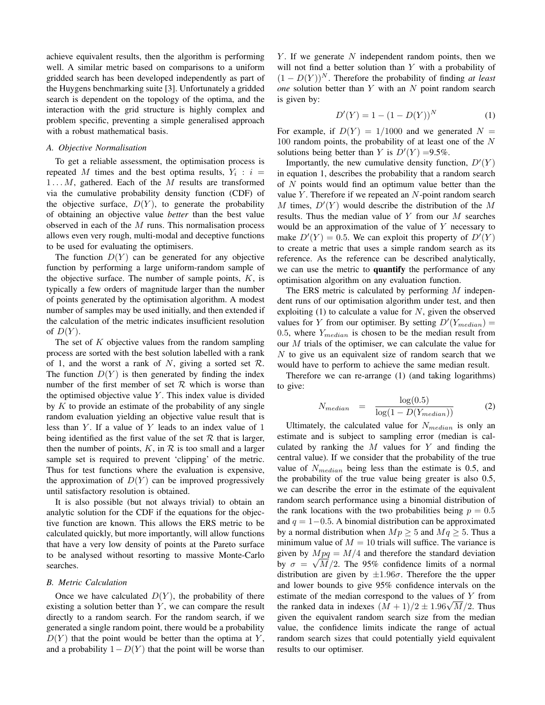achieve equivalent results, then the algorithm is performing well. A similar metric based on comparisons to a uniform gridded search has been developed independently as part of the Huygens benchmarking suite [3]. Unfortunately a gridded search is dependent on the topology of the optima, and the interaction with the grid structure is highly complex and problem specific, preventing a simple generalised approach with a robust mathematical basis.

# *A. Objective Normalisation*

To get a reliable assessment, the optimisation process is repeated M times and the best optima results,  $Y_i : i =$  $1 \ldots M$ , gathered. Each of the M results are transformed via the cumulative probability density function (CDF) of the objective surface,  $D(Y)$ , to generate the probability of obtaining an objective value *better* than the best value observed in each of the  $M$  runs. This normalisation process allows even very rough, multi-modal and deceptive functions to be used for evaluating the optimisers.

The function  $D(Y)$  can be generated for any objective function by performing a large uniform-random sample of the objective surface. The number of sample points,  $K$ , is typically a few orders of magnitude larger than the number of points generated by the optimisation algorithm. A modest number of samples may be used initially, and then extended if the calculation of the metric indicates insufficient resolution of  $D(Y)$ .

The set of  $K$  objective values from the random sampling process are sorted with the best solution labelled with a rank of 1, and the worst a rank of N, giving a sorted set  $\mathcal{R}$ . The function  $D(Y)$  is then generated by finding the index number of the first member of set  $R$  which is worse than the optimised objective value  $Y$ . This index value is divided by  $K$  to provide an estimate of the probability of any single random evaluation yielding an objective value result that is less than  $Y$ . If a value of  $Y$  leads to an index value of 1 being identified as the first value of the set  $R$  that is larger, then the number of points,  $K$ , in  $R$  is too small and a larger sample set is required to prevent 'clipping' of the metric. Thus for test functions where the evaluation is expensive, the approximation of  $D(Y)$  can be improved progressively until satisfactory resolution is obtained.

It is also possible (but not always trivial) to obtain an analytic solution for the CDF if the equations for the objective function are known. This allows the ERS metric to be calculated quickly, but more importantly, will allow functions that have a very low density of points at the Pareto surface to be analysed without resorting to massive Monte-Carlo searches.

## *B. Metric Calculation*

Once we have calculated  $D(Y)$ , the probability of there existing a solution better than  $Y$ , we can compare the result directly to a random search. For the random search, if we generated a single random point, there would be a probability  $D(Y)$  that the point would be better than the optima at Y, and a probability  $1-D(Y)$  that the point will be worse than  $Y$ . If we generate  $N$  independent random points, then we will not find a better solution than Y with a probability of  $(1 - D(Y))^N$ . Therefore the probability of finding *at least one* solution better than Y with an N point random search is given by:

$$
D'(Y) = 1 - (1 - D(Y))^N
$$
 (1)

For example, if  $D(Y) = 1/1000$  and we generated  $N =$  $100$  random points, the probability of at least one of the  $N$ solutions being better than Y is  $D'(Y) = 9.5\%$ .

Importantly, the new cumulative density function,  $D'(Y)$ in equation 1, describes the probability that a random search of  $N$  points would find an optimum value better than the value  $Y$ . Therefore if we repeated an  $N$ -point random search M times,  $D'(Y)$  would describe the distribution of the M results. Thus the median value of  $Y$  from our  $M$  searches would be an approximation of the value of  $Y$  necessary to make  $D'(Y) = 0.5$ . We can exploit this property of  $D'(Y)$ to create a metric that uses a simple random search as its reference. As the reference can be described analytically, we can use the metric to **quantify** the performance of any optimisation algorithm on any evaluation function.

The ERS metric is calculated by performing  $M$  independent runs of our optimisation algorithm under test, and then exploiting  $(1)$  to calculate a value for N, given the observed values for Y from our optimiser. By setting  $D'(Y_{median}) =$ 0.5, where  $Y_{median}$  is chosen to be the median result from our M trials of the optimiser, we can calculate the value for N to give us an equivalent size of random search that we would have to perform to achieve the same median result.

Therefore we can re-arrange (1) (and taking logarithms) to give:

$$
N_{median} = \frac{\log(0.5)}{\log(1 - D(Y_{median}))}
$$
 (2)

Ultimately, the calculated value for  $N_{median}$  is only an estimate and is subject to sampling error (median is calculated by ranking the  $M$  values for  $Y$  and finding the central value). If we consider that the probability of the true value of  $N_{median}$  being less than the estimate is 0.5, and the probability of the true value being greater is also 0.5, we can describe the error in the estimate of the equivalent random search performance using a binomial distribution of the rank locations with the two probabilities being  $p = 0.5$ and  $q = 1-0.5$ . A binomial distribution can be approximated by a normal distribution when  $Mp \geq 5$  and  $Mq \geq 5$ . Thus a minimum value of  $M = 10$  trials will suffice. The variance is given by  $Mpq = M/4$  and therefore the standard deviation by  $\sigma = \sqrt{M}/2$ . The 95% confidence limits of a normal distribution are given by  $\pm 1.96\sigma$ . Therefore the the upper and lower bounds to give 95% confidence intervals on the estimate of the median correspond to the values of Y from the ranked data in indexes  $(M + 1)/2 \pm 1.96\sqrt{M}/2$ . Thus given the equivalent random search size from the median value, the confidence limits indicate the range of actual random search sizes that could potentially yield equivalent results to our optimiser.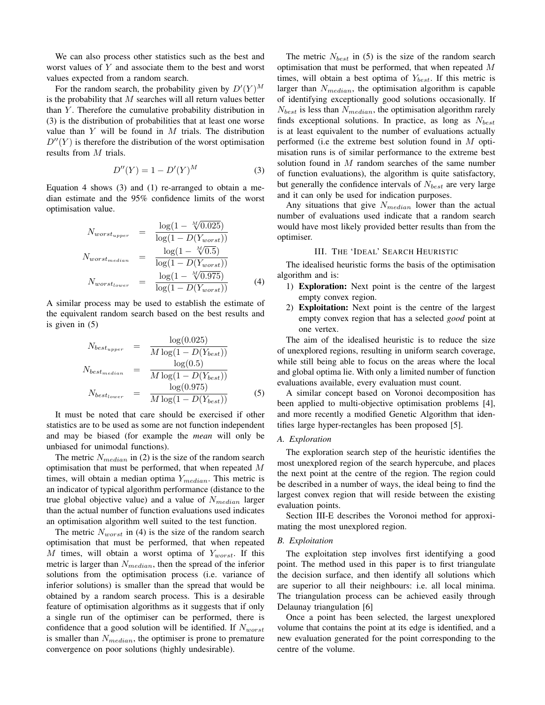We can also process other statistics such as the best and worst values of Y and associate them to the best and worst values expected from a random search.

For the random search, the probability given by  $D'(Y)^M$ is the probability that  $M$  searches will all return values better than  $Y$ . Therefore the cumulative probability distribution in (3) is the distribution of probabilities that at least one worse value than  $Y$  will be found in  $M$  trials. The distribution  $D''(Y)$  is therefore the distribution of the worst optimisation results from M trials.

$$
D''(Y) = 1 - D'(Y)^M
$$
 (3)

Equation 4 shows (3) and (1) re-arranged to obtain a median estimate and the 95% confidence limits of the worst optimisation value.

$$
N_{worst_{upper}} = \frac{\log(1 - \sqrt[M]{0.025})}{\log(1 - D(Y_{worst}))}
$$

$$
N_{worst_{median}} = \frac{\log(1 - \sqrt[M]{0.5})}{\log(1 - D(Y_{worst}))}
$$

$$
N_{worst_{lower}} = \frac{\log(1 - \sqrt[M]{0.975})}{\log(1 - D(Y_{worst}))}
$$
(4)

A similar process may be used to establish the estimate of the equivalent random search based on the best results and is given in (5)

$$
N_{best_{upper}} = \frac{\log(0.025)}{M \log(1 - D(Y_{best}))}
$$
  
\n
$$
N_{best_{median}} = \frac{\log(0.5)}{M \log(1 - D(Y_{best}))}
$$
  
\n
$$
N_{best_{lower}} = \frac{\log(0.975)}{M \log(1 - D(Y_{best}))}
$$
 (5)

It must be noted that care should be exercised if other statistics are to be used as some are not function independent and may be biased (for example the *mean* will only be unbiased for unimodal functions).

The metric  $N_{median}$  in (2) is the size of the random search optimisation that must be performed, that when repeated M times, will obtain a median optima  $Y_{median}$ . This metric is an indicator of typical algorithm performance (distance to the true global objective value) and a value of  $N_{median}$  larger than the actual number of function evaluations used indicates an optimisation algorithm well suited to the test function.

The metric  $N_{worst}$  in (4) is the size of the random search optimisation that must be performed, that when repeated M times, will obtain a worst optima of  $Y_{worst}$ . If this metric is larger than  $N_{median}$ , then the spread of the inferior solutions from the optimisation process (i.e. variance of inferior solutions) is smaller than the spread that would be obtained by a random search process. This is a desirable feature of optimisation algorithms as it suggests that if only a single run of the optimiser can be performed, there is confidence that a good solution will be identified. If  $N_{worst}$ is smaller than  $N_{median}$ , the optimiser is prone to premature convergence on poor solutions (highly undesirable).

The metric  $N_{best}$  in (5) is the size of the random search optimisation that must be performed, that when repeated M times, will obtain a best optima of  $Y_{best}$ . If this metric is larger than  $N_{median}$ , the optimisation algorithm is capable of identifying exceptionally good solutions occasionally. If  $N_{best}$  is less than  $N_{median}$ , the optimisation algorithm rarely finds exceptional solutions. In practice, as long as  $N_{best}$ is at least equivalent to the number of evaluations actually performed (i.e the extreme best solution found in  $M$  optimisation runs is of similar performance to the extreme best solution found in M random searches of the same number of function evaluations), the algorithm is quite satisfactory, but generally the confidence intervals of  $N_{best}$  are very large and it can only be used for indication purposes.

Any situations that give  $N_{median}$  lower than the actual number of evaluations used indicate that a random search would have most likely provided better results than from the optimiser.

## III. THE 'IDEAL' SEARCH HEURISTIC

The idealised heuristic forms the basis of the optimisation algorithm and is:

- 1) **Exploration:** Next point is the centre of the largest empty convex region.
- 2) **Exploitation:** Next point is the centre of the largest empty convex region that has a selected *good* point at one vertex.

The aim of the idealised heuristic is to reduce the size of unexplored regions, resulting in uniform search coverage, while still being able to focus on the areas where the local and global optima lie. With only a limited number of function evaluations available, every evaluation must count.

A similar concept based on Voronoi decomposition has been applied to multi-objective optimisation problems [4], and more recently a modified Genetic Algorithm that identifies large hyper-rectangles has been proposed [5].

## *A. Exploration*

The exploration search step of the heuristic identifies the most unexplored region of the search hypercube, and places the next point at the centre of the region. The region could be described in a number of ways, the ideal being to find the largest convex region that will reside between the existing evaluation points.

Section III-E describes the Voronoi method for approximating the most unexplored region.

#### *B. Exploitation*

The exploitation step involves first identifying a good point. The method used in this paper is to first triangulate the decision surface, and then identify all solutions which are superior to all their neighbours: i.e. all local minima. The triangulation process can be achieved easily through Delaunay triangulation [6]

Once a point has been selected, the largest unexplored volume that contains the point at its edge is identified, and a new evaluation generated for the point corresponding to the centre of the volume.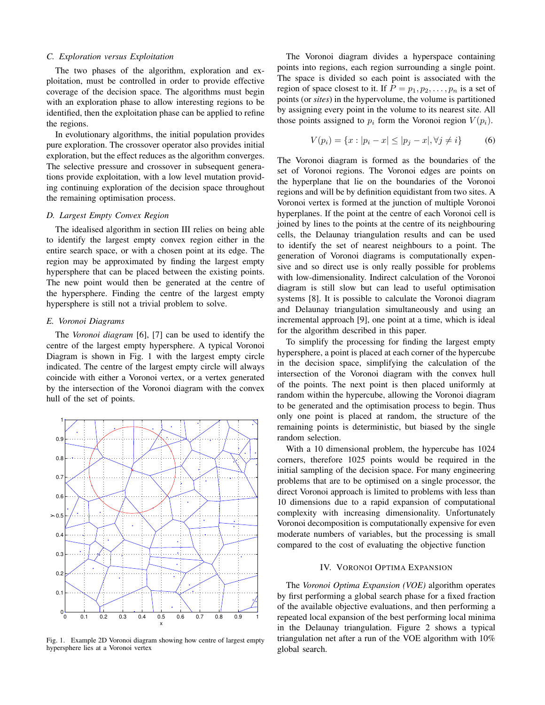# *C. Exploration versus Exploitation*

The two phases of the algorithm, exploration and exploitation, must be controlled in order to provide effective coverage of the decision space. The algorithms must begin with an exploration phase to allow interesting regions to be identified, then the exploitation phase can be applied to refine the regions.

In evolutionary algorithms, the initial population provides pure exploration. The crossover operator also provides initial exploration, but the effect reduces as the algorithm converges. The selective pressure and crossover in subsequent generations provide exploitation, with a low level mutation providing continuing exploration of the decision space throughout the remaining optimisation process.

## *D. Largest Empty Convex Region*

The idealised algorithm in section III relies on being able to identify the largest empty convex region either in the entire search space, or with a chosen point at its edge. The region may be approximated by finding the largest empty hypersphere that can be placed between the existing points. The new point would then be generated at the centre of the hypersphere. Finding the centre of the largest empty hypersphere is still not a trivial problem to solve.

# *E. Voronoi Diagrams*

The *Voronoi diagram* [6], [7] can be used to identify the centre of the largest empty hypersphere. A typical Voronoi Diagram is shown in Fig. 1 with the largest empty circle indicated. The centre of the largest empty circle will always coincide with either a Voronoi vertex, or a vertex generated by the intersection of the Voronoi diagram with the convex hull of the set of points.



Fig. 1. Example 2D Voronoi diagram showing how centre of largest empty hypersphere lies at a Voronoi vertex

The Voronoi diagram divides a hyperspace containing points into regions, each region surrounding a single point. The space is divided so each point is associated with the region of space closest to it. If  $P = p_1, p_2, \dots, p_n$  is a set of points (or *sites*) in the hypervolume, the volume is partitioned by assigning every point in the volume to its nearest site. All those points assigned to  $p_i$  form the Voronoi region  $V(p_i)$ .

$$
V(p_i) = \{x : |p_i - x| \le |p_j - x|, \forall j \neq i\}
$$
 (6)

The Voronoi diagram is formed as the boundaries of the set of Voronoi regions. The Voronoi edges are points on the hyperplane that lie on the boundaries of the Voronoi regions and will be by definition equidistant from two sites. A Voronoi vertex is formed at the junction of multiple Voronoi hyperplanes. If the point at the centre of each Voronoi cell is joined by lines to the points at the centre of its neighbouring cells, the Delaunay triangulation results and can be used to identify the set of nearest neighbours to a point. The generation of Voronoi diagrams is computationally expensive and so direct use is only really possible for problems with low-dimensionality. Indirect calculation of the Voronoi diagram is still slow but can lead to useful optimisation systems [8]. It is possible to calculate the Voronoi diagram and Delaunay triangulation simultaneously and using an incremental approach [9], one point at a time, which is ideal for the algorithm described in this paper.

To simplify the processing for finding the largest empty hypersphere, a point is placed at each corner of the hypercube in the decision space, simplifying the calculation of the intersection of the Voronoi diagram with the convex hull of the points. The next point is then placed uniformly at random within the hypercube, allowing the Voronoi diagram to be generated and the optimisation process to begin. Thus only one point is placed at random, the structure of the remaining points is deterministic, but biased by the single random selection.

With a 10 dimensional problem, the hypercube has 1024 corners, therefore 1025 points would be required in the initial sampling of the decision space. For many engineering problems that are to be optimised on a single processor, the direct Voronoi approach is limited to problems with less than 10 dimensions due to a rapid expansion of computational complexity with increasing dimensionality. Unfortunately Voronoi decomposition is computationally expensive for even moderate numbers of variables, but the processing is small compared to the cost of evaluating the objective function

# IV. VORONOI OPTIMA EXPANSION

The *Voronoi Optima Expansion (VOE)* algorithm operates by first performing a global search phase for a fixed fraction of the available objective evaluations, and then performing a repeated local expansion of the best performing local minima in the Delaunay triangulation. Figure 2 shows a typical triangulation net after a run of the VOE algorithm with 10% global search.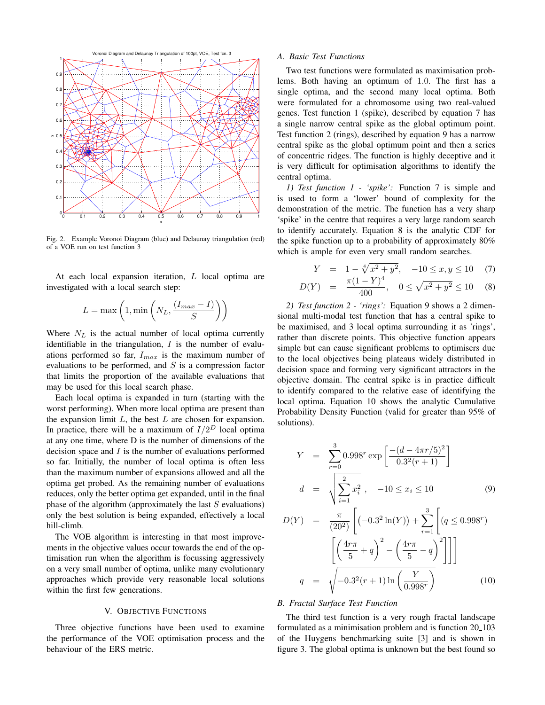

Fig. 2. Example Voronoi Diagram (blue) and Delaunay triangulation (red) of a VOE run on test function 3

At each local expansion iteration, L local optima are investigated with a local search step:

$$
L = \max\left(1, \min\left(N_L, \frac{(I_{max} - I)}{S}\right)\right)
$$

Where  $N_L$  is the actual number of local optima currently identifiable in the triangulation,  $I$  is the number of evaluations performed so far,  $I_{max}$  is the maximum number of evaluations to be performed, and  $S$  is a compression factor that limits the proportion of the available evaluations that may be used for this local search phase.

Each local optima is expanded in turn (starting with the worst performing). When more local optima are present than the expansion limit  $L$ , the best  $L$  are chosen for expansion. In practice, there will be a maximum of  $I/2^D$  local optima at any one time, where D is the number of dimensions of the decision space and  $I$  is the number of evaluations performed so far. Initially, the number of local optima is often less than the maximum number of expansions allowed and all the optima get probed. As the remaining number of evaluations reduces, only the better optima get expanded, until in the final phase of the algorithm (approximately the last  $S$  evaluations) only the best solution is being expanded, effectively a local hill-climb.

The VOE algorithm is interesting in that most improvements in the objective values occur towards the end of the optimisation run when the algorithm is focussing aggressively on a very small number of optima, unlike many evolutionary approaches which provide very reasonable local solutions within the first few generations.

# V. OBJECTIVE FUNCTIONS

Three objective functions have been used to examine the performance of the VOE optimisation process and the behaviour of the ERS metric.

## *A. Basic Test Functions*

Two test functions were formulated as maximisation problems. Both having an optimum of 1.0. The first has a single optima, and the second many local optima. Both were formulated for a chromosome using two real-valued genes. Test function 1 (spike), described by equation 7 has a single narrow central spike as the global optimum point. Test function 2 (rings), described by equation 9 has a narrow central spike as the global optimum point and then a series of concentric ridges. The function is highly deceptive and it is very difficult for optimisation algorithms to identify the central optima.

*1) Test function 1 - 'spike':* Function 7 is simple and is used to form a 'lower' bound of complexity for the demonstration of the metric. The function has a very sharp 'spike' in the centre that requires a very large random search to identify accurately. Equation 8 is the analytic CDF for the spike function up to a probability of approximately 80% which is ample for even very small random searches.

$$
Y = 1 - \sqrt[4]{x^2 + y^2}, \quad -10 \le x, y \le 10 \tag{7}
$$

$$
D(Y) = \frac{\pi (1 - Y)^4}{400}, \quad 0 \le \sqrt{x^2 + y^2} \le 10 \quad (8)
$$

*2) Test function 2 - 'rings':* Equation 9 shows a 2 dimensional multi-modal test function that has a central spike to be maximised, and 3 local optima surrounding it as 'rings', rather than discrete points. This objective function appears simple but can cause significant problems to optimisers due to the local objectives being plateaus widely distributed in decision space and forming very significant attractors in the objective domain. The central spike is in practice difficult to identify compared to the relative ease of identifying the local optima. Equation 10 shows the analytic Cumulative Probability Density Function (valid for greater than 95% of solutions).

$$
Y = \sum_{r=0}^{3} 0.998^r \exp\left[\frac{-(d - 4\pi r/5)^2}{0.3^2(r+1)}\right]
$$
  

$$
d = \sqrt{\sum_{i=1}^{2} x_i^2}, \quad -10 \le x_i \le 10
$$
 (9)

$$
D(Y) = \frac{\pi}{(20^2)} \left[ (-0.3^2 \ln(Y)) + \sum_{r=1}^3 \left[ (q \le 0.998^r) \right] \right]
$$

$$
\left[ \left( \frac{4r\pi}{5} + q \right)^2 - \left( \frac{4r\pi}{5} - q \right)^2 \right] \Big]
$$

$$
q = \sqrt{-0.3^2 (r+1) \ln \left( \frac{Y}{0.998^r} \right)} \tag{10}
$$

#### *B. Fractal Surface Test Function*

The third test function is a very rough fractal landscape formulated as a minimisation problem and is function  $20_{1}103$ of the Huygens benchmarking suite [3] and is shown in figure 3. The global optima is unknown but the best found so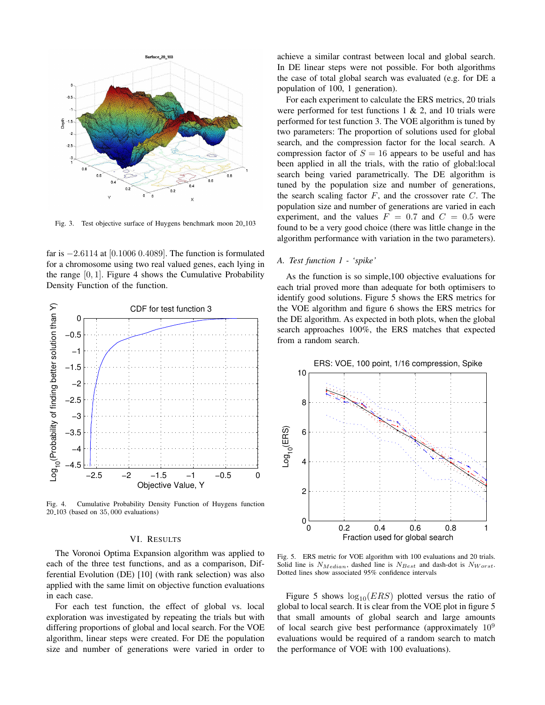

Fig. 3. Test objective surface of Huygens benchmark moon 20 103

far is −2.6114 at [0.1006 0.4089]. The function is formulated for a chromosome using two real valued genes, each lying in the range  $[0, 1]$ . Figure 4 shows the Cumulative Probability Density Function of the function.



Fig. 4. Cumulative Probability Density Function of Huygens function 20 103 (based on 35, 000 evaluations)

# VI. RESULTS

The Voronoi Optima Expansion algorithm was applied to each of the three test functions, and as a comparison, Differential Evolution (DE) [10] (with rank selection) was also applied with the same limit on objective function evaluations in each case.

For each test function, the effect of global vs. local exploration was investigated by repeating the trials but with differing proportions of global and local search. For the VOE algorithm, linear steps were created. For DE the population size and number of generations were varied in order to

achieve a similar contrast between local and global search. In DE linear steps were not possible. For both algorithms the case of total global search was evaluated (e.g. for DE a population of 100, 1 generation).

For each experiment to calculate the ERS metrics, 20 trials were performed for test functions  $1 \& 2$ , and  $10$  trials were performed for test function 3. The VOE algorithm is tuned by two parameters: The proportion of solutions used for global search, and the compression factor for the local search. A compression factor of  $S = 16$  appears to be useful and has been applied in all the trials, with the ratio of global:local search being varied parametrically. The DE algorithm is tuned by the population size and number of generations, the search scaling factor  $F$ , and the crossover rate  $C$ . The population size and number of generations are varied in each experiment, and the values  $F = 0.7$  and  $C = 0.5$  were found to be a very good choice (there was little change in the algorithm performance with variation in the two parameters).

## *A. Test function 1 - 'spike'*

As the function is so simple,100 objective evaluations for each trial proved more than adequate for both optimisers to identify good solutions. Figure 5 shows the ERS metrics for the VOE algorithm and figure 6 shows the ERS metrics for the DE algorithm. As expected in both plots, when the global search approaches 100%, the ERS matches that expected from a random search.



Fig. 5. ERS metric for VOE algorithm with 100 evaluations and 20 trials. Solid line is  $N_{Median}$ , dashed line is  $N_{Best}$  and dash-dot is  $N_{Worst}$ . Dotted lines show associated 95% confidence intervals

Figure 5 shows  $log_{10}(ERS)$  plotted versus the ratio of global to local search. It is clear from the VOE plot in figure 5 that small amounts of global search and large amounts of local search give best performance (approximately  $10^9$ evaluations would be required of a random search to match the performance of VOE with 100 evaluations).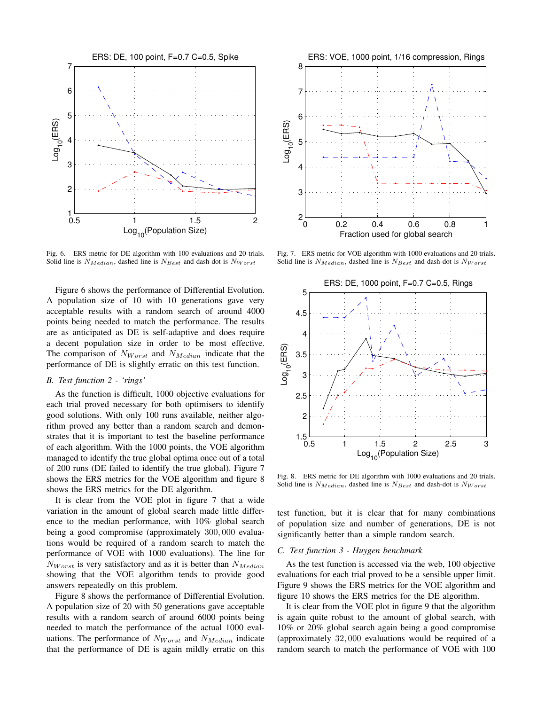

Fig. 6. ERS metric for DE algorithm with 100 evaluations and 20 trials. Solid line is  $N_{Median}$ , dashed line is  $N_{Best}$  and dash-dot is  $N_{Worst}$ 

Figure 6 shows the performance of Differential Evolution. A population size of 10 with 10 generations gave very acceptable results with a random search of around 4000 points being needed to match the performance. The results are as anticipated as DE is self-adaptive and does require a decent population size in order to be most effective. The comparison of  $N_{Worst}$  and  $N_{Median}$  indicate that the performance of DE is slightly erratic on this test function.

## *B. Test function 2 - 'rings'*

As the function is difficult, 1000 objective evaluations for each trial proved necessary for both optimisers to identify good solutions. With only 100 runs available, neither algorithm proved any better than a random search and demonstrates that it is important to test the baseline performance of each algorithm. With the 1000 points, the VOE algorithm managed to identify the true global optima once out of a total of 200 runs (DE failed to identify the true global). Figure 7 shows the ERS metrics for the VOE algorithm and figure 8 shows the ERS metrics for the DE algorithm.

It is clear from the VOE plot in figure 7 that a wide variation in the amount of global search made little difference to the median performance, with 10% global search being a good compromise (approximately 300, 000 evaluations would be required of a random search to match the performance of VOE with 1000 evaluations). The line for  $N_{Worst}$  is very satisfactory and as it is better than  $N_{Median}$ showing that the VOE algorithm tends to provide good answers repeatedly on this problem.

Figure 8 shows the performance of Differential Evolution. A population size of 20 with 50 generations gave acceptable results with a random search of around 6000 points being needed to match the performance of the actual 1000 evaluations. The performance of  $N_{Worst}$  and  $N_{Median}$  indicate that the performance of DE is again mildly erratic on this



Fig. 7. ERS metric for VOE algorithm with 1000 evaluations and 20 trials. Solid line is  $N_{Median}$ , dashed line is  $N_{Best}$  and dash-dot is  $N_{Worst}$ 



Fig. 8. ERS metric for DE algorithm with 1000 evaluations and 20 trials. Solid line is  $N_{Median}$ , dashed line is  $N_{Best}$  and dash-dot is  $N_{Worst}$ 

test function, but it is clear that for many combinations of population size and number of generations, DE is not significantly better than a simple random search.

## *C. Test function 3 - Huygen benchmark*

As the test function is accessed via the web, 100 objective evaluations for each trial proved to be a sensible upper limit. Figure 9 shows the ERS metrics for the VOE algorithm and figure 10 shows the ERS metrics for the DE algorithm.

It is clear from the VOE plot in figure 9 that the algorithm is again quite robust to the amount of global search, with 10% or 20% global search again being a good compromise (approximately 32, 000 evaluations would be required of a random search to match the performance of VOE with 100